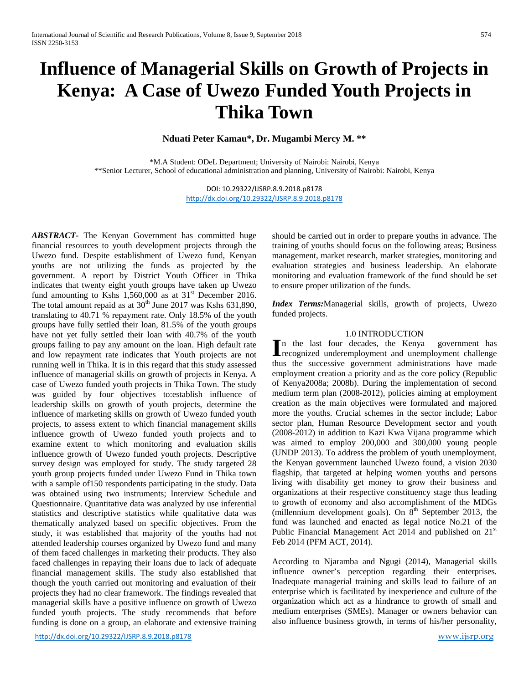# **Influence of Managerial Skills on Growth of Projects in Kenya: A Case of Uwezo Funded Youth Projects in Thika Town**

**Nduati Peter Kamau\*, Dr. Mugambi Mercy M. \*\***

\*M.A Student: ODeL Department; University of Nairobi: Nairobi, Kenya \*\*Senior Lecturer, School of educational administration and planning, University of Nairobi: Nairobi, Kenya

> DOI: 10.29322/IJSRP.8.9.2018.p8178 <http://dx.doi.org/10.29322/IJSRP.8.9.2018.p8178>

*ABSTRACT-* The Kenyan Government has committed huge financial resources to youth development projects through the Uwezo fund. Despite establishment of Uwezo fund, Kenyan youths are not utilizing the funds as projected by the government. A report by District Youth Officer in Thika indicates that twenty eight youth groups have taken up Uwezo fund amounting to Kshs  $1,560,000$  as at  $31<sup>st</sup>$  December 2016. The total amount repaid as at  $30<sup>th</sup>$  June 2017 was Kshs 631,890, translating to 40.71 % repayment rate. Only 18.5% of the youth groups have fully settled their loan, 81.5% of the youth groups have not yet fully settled their loan with 40.7% of the youth groups failing to pay any amount on the loan. High default rate and low repayment rate indicates that Youth projects are not running well in Thika. It is in this regard that this study assessed influence of managerial skills on growth of projects in Kenya. A case of Uwezo funded youth projects in Thika Town. The study was guided by four objectives to:establish influence of leadership skills on growth of youth projects, determine the influence of marketing skills on growth of Uwezo funded youth projects, to assess extent to which financial management skills influence growth of Uwezo funded youth projects and to examine extent to which monitoring and evaluation skills influence growth of Uwezo funded youth projects. Descriptive survey design was employed for study. The study targeted 28 youth group projects funded under Uwezo Fund in Thika town with a sample of150 respondents participating in the study. Data was obtained using two instruments; Interview Schedule and Questionnaire. Quantitative data was analyzed by use inferential statistics and descriptive statistics while qualitative data was thematically analyzed based on specific objectives. From the study, it was established that majority of the youths had not attended leadership courses organized by Uwezo fund and many of them faced challenges in marketing their products. They also faced challenges in repaying their loans due to lack of adequate financial management skills. The study also established that though the youth carried out monitoring and evaluation of their projects they had no clear framework. The findings revealed that managerial skills have a positive influence on growth of Uwezo funded youth projects. The study recommends that before funding is done on a group, an elaborate and extensive training

should be carried out in order to prepare youths in advance. The training of youths should focus on the following areas; Business management, market research, market strategies, monitoring and evaluation strategies and business leadership. An elaborate monitoring and evaluation framework of the fund should be set to ensure proper utilization of the funds.

*Index Terms:*Managerial skills, growth of projects, Uwezo funded projects.

# 1.0 INTRODUCTION

n the last four decades, the Kenya government has In the last four decades, the Kenya government has recognized underemployment and unemployment challenge thus the successive government administrations have made employment creation a priority and as the core policy (Republic of Kenya2008a; 2008b). During the implementation of second medium term plan (2008-2012), policies aiming at employment creation as the main objectives were formulated and majored more the youths. Crucial schemes in the sector include; Labor sector plan, Human Resource Development sector and youth (2008-2012) in addition to Kazi Kwa Vijana programme which was aimed to employ 200,000 and 300,000 young people (UNDP 2013). To address the problem of youth unemployment, the Kenyan government launched Uwezo found, a vision 2030 flagship, that targeted at helping women youths and persons living with disability get money to grow their business and organizations at their respective constituency stage thus leading to growth of economy and also accomplishment of the MDGs (millennium development goals). On  $8<sup>th</sup>$  September 2013, the fund was launched and enacted as legal notice No.21 of the Public Financial Management Act 2014 and published on 21<sup>st</sup> Feb 2014 (PFM ACT, 2014).

According to Njaramba and Ngugi (2014), Managerial skills influence owner's perception regarding their enterprises. Inadequate managerial training and skills lead to failure of an enterprise which is facilitated by inexperience and culture of the organization which act as a hindrance to growth of small and medium enterprises (SMEs). Manager or owners behavior can also influence business growth, in terms of his/her personality,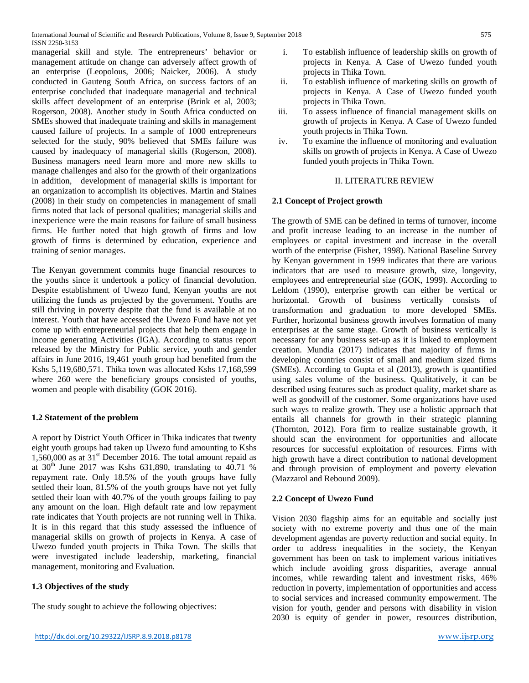managerial skill and style. The entrepreneurs' behavior or management attitude on change can adversely affect growth of an enterprise (Leopolous, 2006; Naicker, 2006). A study conducted in Gauteng South Africa, on success factors of an enterprise concluded that inadequate managerial and technical skills affect development of an enterprise (Brink et al, 2003; Rogerson, 2008). Another study in South Africa conducted on SMEs showed that inadequate training and skills in management caused failure of projects. In a sample of 1000 entrepreneurs selected for the study, 90% believed that SMEs failure was caused by inadequacy of managerial skills (Rogerson, 2008). Business managers need learn more and more new skills to manage challenges and also for the growth of their organizations in addition, development of managerial skills is important for an organization to accomplish its objectives. Martin and Staines (2008) in their study on competencies in management of small firms noted that lack of personal qualities; managerial skills and inexperience were the main reasons for failure of small business firms. He further noted that high growth of firms and low growth of firms is determined by education, experience and training of senior manages.

The Kenyan government commits huge financial resources to the youths since it undertook a policy of financial devolution. Despite establishment of Uwezo fund, Kenyan youths are not utilizing the funds as projected by the government. Youths are still thriving in poverty despite that the fund is available at no interest. Youth that have accessed the Uwezo Fund have not yet come up with entrepreneurial projects that help them engage in income generating Activities (IGA). According to status report released by the Ministry for Public service, youth and gender affairs in June 2016, 19,461 youth group had benefited from the Kshs 5,119,680,571. Thika town was allocated Kshs 17,168,599 where 260 were the beneficiary groups consisted of youths, women and people with disability (GOK 2016).

## **1.2 Statement of the problem**

A report by District Youth Officer in Thika indicates that twenty eight youth groups had taken up Uwezo fund amounting to Kshs  $1.560,000$  as at  $31<sup>st</sup>$  December 2016. The total amount repaid as at  $30<sup>th</sup>$  June 2017 was Kshs 631,890, translating to 40.71 % repayment rate. Only 18.5% of the youth groups have fully settled their loan, 81.5% of the youth groups have not yet fully settled their loan with 40.7% of the youth groups failing to pay any amount on the loan. High default rate and low repayment rate indicates that Youth projects are not running well in Thika. It is in this regard that this study assessed the influence of managerial skills on growth of projects in Kenya. A case of Uwezo funded youth projects in Thika Town. The skills that were investigated include leadership, marketing, financial management, monitoring and Evaluation.

# **1.3 Objectives of the study**

The study sought to achieve the following objectives:

- i. To establish influence of leadership skills on growth of projects in Kenya. A Case of Uwezo funded youth projects in Thika Town.
- ii. To establish influence of marketing skills on growth of projects in Kenya. A Case of Uwezo funded youth projects in Thika Town.
- iii. To assess influence of financial management skills on growth of projects in Kenya. A Case of Uwezo funded youth projects in Thika Town.
- iv. To examine the influence of monitoring and evaluation skills on growth of projects in Kenya. A Case of Uwezo funded youth projects in Thika Town.

## II. LITERATURE REVIEW

## **2.1 Concept of Project growth**

The growth of SME can be defined in terms of turnover, income and profit increase leading to an increase in the number of employees or capital investment and increase in the overall worth of the enterprise (Fisher, 1998). National Baseline Survey by Kenyan government in 1999 indicates that there are various indicators that are used to measure growth, size, longevity, employees and entrepreneurial size (GOK, 1999). According to Leldom (1990), enterprise growth can either be vertical or horizontal. Growth of business vertically consists of transformation and graduation to more developed SMEs. Further, horizontal business growth involves formation of many enterprises at the same stage. Growth of business vertically is necessary for any business set-up as it is linked to employment creation. Mundia (2017) indicates that majority of firms in developing countries consist of small and medium sized firms (SMEs). According to Gupta et al (2013), growth is quantified using sales volume of the business. Qualitatively, it can be described using features such as product quality, market share as well as goodwill of the customer. Some organizations have used such ways to realize growth. They use a holistic approach that entails all channels for growth in their strategic planning (Thornton, 2012). Fora firm to realize sustainable growth, it should scan the environment for opportunities and allocate resources for successful exploitation of resources. Firms with high growth have a direct contribution to national development and through provision of employment and poverty elevation (Mazzarol and Rebound 2009).

## **2.2 Concept of Uwezo Fund**

Vision 2030 flagship aims for an equitable and socially just society with no extreme poverty and thus one of the main development agendas are poverty reduction and social equity. In order to address inequalities in the society, the Kenyan government has been on task to implement various initiatives which include avoiding gross disparities, average annual incomes, while rewarding talent and investment risks, 46% reduction in poverty, implementation of opportunities and access to social services and increased community empowerment. The vision for youth, gender and persons with disability in vision 2030 is equity of gender in power, resources distribution,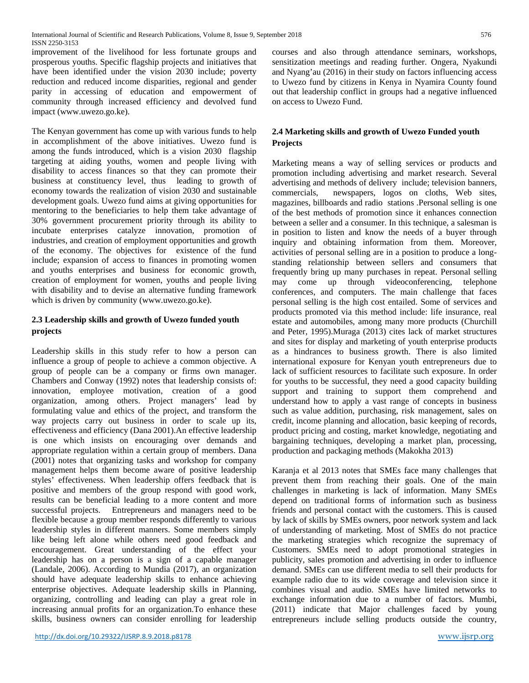improvement of the livelihood for less fortunate groups and prosperous youths. Specific flagship projects and initiatives that have been identified under the vision 2030 include; poverty reduction and reduced income disparities, regional and gender parity in accessing of education and empowerment of community through increased efficiency and devolved fund impact (www.uwezo.go.ke).

The Kenyan government has come up with various funds to help in accomplishment of the above initiatives. Uwezo fund is among the funds introduced, which is a vision 2030 flagship targeting at aiding youths, women and people living with disability to access finances so that they can promote their business at constituency level, thus leading to growth of economy towards the realization of vision 2030 and sustainable development goals. Uwezo fund aims at giving opportunities for mentoring to the beneficiaries to help them take advantage of 30% government procurement priority through its ability to incubate enterprises catalyze innovation, promotion of industries, and creation of employment opportunities and growth of the economy. The objectives for existence of the fund include; expansion of access to finances in promoting women and youths enterprises and business for economic growth, creation of employment for women, youths and people living with disability and to devise an alternative funding framework which is driven by community (www.uwezo.go.ke).

# **2.3 Leadership skills and growth of Uwezo funded youth projects**

Leadership skills in this study refer to how a person can influence a group of people to achieve a common objective. A group of people can be a company or firms own manager. Chambers and Conway (1992) notes that leadership consists of: innovation, employee motivation, creation of a good organization, among others. Project managers' lead by formulating value and ethics of the project, and transform the way projects carry out business in order to scale up its, effectiveness and efficiency (Dana 2001).An effective leadership is one which insists on encouraging over demands and appropriate regulation within a certain group of members. Dana (2001) notes that organizing tasks and workshop for company management helps them become aware of positive leadership styles' effectiveness. When leadership offers feedback that is positive and members of the group respond with good work, results can be beneficial leading to a more content and more successful projects. Entrepreneurs and managers need to be flexible because a group member responds differently to various leadership styles in different manners. Some members simply like being left alone while others need good feedback and encouragement. Great understanding of the effect your leadership has on a person is a sign of a capable manager (Landale, 2006). According to Mundia (2017), an organization should have adequate leadership skills to enhance achieving enterprise objectives. Adequate leadership skills in Planning, organizing, controlling and leading can play a great role in increasing annual profits for an organization.To enhance these skills, business owners can consider enrolling for leadership

<http://dx.doi.org/10.29322/IJSRP.8.9.2018.p8178> [www.ijsrp.org](http://ijsrp.org/)

courses and also through attendance seminars, workshops, sensitization meetings and reading further. Ongera, Nyakundi and Nyang'au (2016) in their study on factors influencing access to Uwezo fund by citizens in Kenya in Nyamira County found out that leadership conflict in groups had a negative influenced on access to Uwezo Fund.

# **2.4 Marketing skills and growth of Uwezo Funded youth Projects**

Marketing means a way of selling services or products and promotion including advertising and market research. Several advertising and methods of delivery include; television banners, commercials, newspapers, logos on cloths, Web sites, magazines, billboards and radio stations .Personal selling is one of the best methods of promotion since it enhances connection between a seller and a consumer. In this technique, a salesman is in position to listen and know the needs of a buyer through inquiry and obtaining information from them. Moreover, activities of personal selling are in a position to produce a longstanding relationship between sellers and consumers that frequently bring up many purchases in repeat. Personal selling may come up through videoconferencing, telephone conferences, and computers. The main challenge that faces personal selling is the high cost entailed. Some of services and products promoted via this method include: life insurance, real estate and automobiles, among many more products (Churchill and Peter, 1995).Muraga (2013) cites lack of market structures and sites for display and marketing of youth enterprise products as a hindrances to business growth. There is also limited international exposure for Kenyan youth entrepreneurs due to lack of sufficient resources to facilitate such exposure. In order for youths to be successful, they need a good capacity building support and training to support them comprehend and understand how to apply a vast range of concepts in business such as value addition, purchasing, risk management, sales on credit, income planning and allocation, basic keeping of records, product pricing and costing, market knowledge, negotiating and bargaining techniques, developing a market plan, processing, production and packaging methods (Makokha 2013)

Karanja et al 2013 notes that SMEs face many challenges that prevent them from reaching their goals. One of the main challenges in marketing is lack of information. Many SMEs depend on traditional forms of information such as business friends and personal contact with the customers. This is caused by lack of skills by SMEs owners, poor network system and lack of understanding of marketing. Most of SMEs do not practice the marketing strategies which recognize the supremacy of Customers. SMEs need to adopt promotional strategies in publicity, sales promotion and advertising in order to influence demand. SMEs can use different media to sell their products for example radio due to its wide coverage and television since it combines visual and audio. SMEs have limited networks to exchange information due to a number of factors. Mumbi, (2011) indicate that Major challenges faced by young entrepreneurs include selling products outside the country,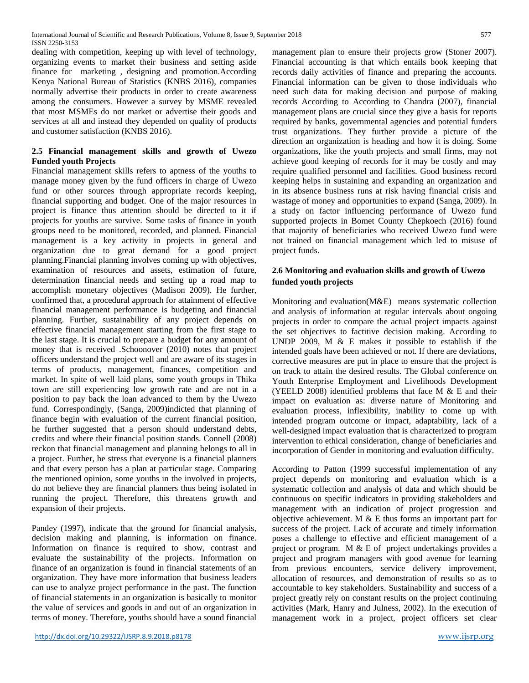International Journal of Scientific and Research Publications, Volume 8, Issue 9, September 2018 577 ISSN 2250-3153

dealing with competition, keeping up with level of technology, organizing events to market their business and setting aside finance for marketing , designing and promotion.According Kenya National Bureau of Statistics (KNBS 2016), companies normally advertise their products in order to create awareness among the consumers. However a survey by MSME revealed that most MSMEs do not market or advertise their goods and services at all and instead they depended on quality of products and customer satisfaction (KNBS 2016).

## **2.5 Financial management skills and growth of Uwezo Funded youth Projects**

Financial management skills refers to aptness of the youths to manage money given by the fund officers in charge of Uwezo fund or other sources through appropriate records keeping, financial supporting and budget. One of the major resources in project is finance thus attention should be directed to it if projects for youths are survive. Some tasks of finance in youth groups need to be monitored, recorded, and planned. Financial management is a key activity in projects in general and organization due to great demand for a good project planning.Financial planning involves coming up with objectives, examination of resources and assets, estimation of future, determination financial needs and setting up a road map to accomplish monetary objectives (Madison 2009). He further, confirmed that, a procedural approach for attainment of effective financial management performance is budgeting and financial planning. Further, sustainability of any project depends on effective financial management starting from the first stage to the last stage. It is crucial to prepare a budget for any amount of money that is received .Schoonover (2010) notes that project officers understand the project well and are aware of its stages in terms of products, management, finances, competition and market. In spite of well laid plans, some youth groups in Thika town are still experiencing low growth rate and are not in a position to pay back the loan advanced to them by the Uwezo fund. Correspondingly, (Sanga, 2009)indicted that planning of finance begin with evaluation of the current financial position, he further suggested that a person should understand debts, credits and where their financial position stands. Connell (2008) reckon that financial management and planning belongs to all in a project. Further, he stress that everyone is a financial planners and that every person has a plan at particular stage. Comparing the mentioned opinion, some youths in the involved in projects, do not believe they are financial planners thus being isolated in running the project. Therefore, this threatens growth and expansion of their projects.

Pandey (1997), indicate that the ground for financial analysis, decision making and planning, is information on finance. Information on finance is required to show, contrast and evaluate the sustainability of the projects. Information on finance of an organization is found in financial statements of an organization. They have more information that business leaders can use to analyze project performance in the past. The function of financial statements in an organization is basically to monitor the value of services and goods in and out of an organization in terms of money. Therefore, youths should have a sound financial

management plan to ensure their projects grow (Stoner 2007). Financial accounting is that which entails book keeping that records daily activities of finance and preparing the accounts. Financial information can be given to those individuals who need such data for making decision and purpose of making records According to According to Chandra (2007), financial management plans are crucial since they give a basis for reports required by banks, governmental agencies and potential funders trust organizations. They further provide a picture of the direction an organization is heading and how it is doing. Some organizations, like the youth projects and small firms, may not achieve good keeping of records for it may be costly and may require qualified personnel and facilities. Good business record keeping helps in sustaining and expanding an organization and in its absence business runs at risk having financial crisis and wastage of money and opportunities to expand (Sanga, 2009). In a study on factor influencing performance of Uwezo fund supported projects in Bomet County Chepkoech (2016) found that majority of beneficiaries who received Uwezo fund were not trained on financial management which led to misuse of project funds.

# **2.6 Monitoring and evaluation skills and growth of Uwezo funded youth projects**

Monitoring and evaluation(M&E) means systematic collection and analysis of information at regular intervals about ongoing projects in order to compare the actual project impacts against the set objectives to factitive decision making. According to UNDP 2009, M & E makes it possible to establish if the intended goals have been achieved or not. If there are deviations, corrective measures are put in place to ensure that the project is on track to attain the desired results. The Global conference on Youth Enterprise Employment and Livelihoods Development (YEELD 2008) identified problems that face M  $&$  E and their impact on evaluation as: diverse nature of Monitoring and evaluation process, inflexibility, inability to come up with intended program outcome or impact, adaptability, lack of a well-designed impact evaluation that is characterized to program intervention to ethical consideration, change of beneficiaries and incorporation of Gender in monitoring and evaluation difficulty.

According to Patton (1999 successful implementation of any project depends on monitoring and evaluation which is a systematic collection and analysis of data and which should be continuous on specific indicators in providing stakeholders and management with an indication of project progression and objective achievement. M & E thus forms an important part for success of the project. Lack of accurate and timely information poses a challenge to effective and efficient management of a project or program. M & E of project undertakings provides a project and program managers with good avenue for learning from previous encounters, service delivery improvement, allocation of resources, and demonstration of results so as to accountable to key stakeholders. Sustainability and success of a project greatly rely on constant results on the project continuing activities (Mark, Hanry and Julness, 2002). In the execution of management work in a project, project officers set clear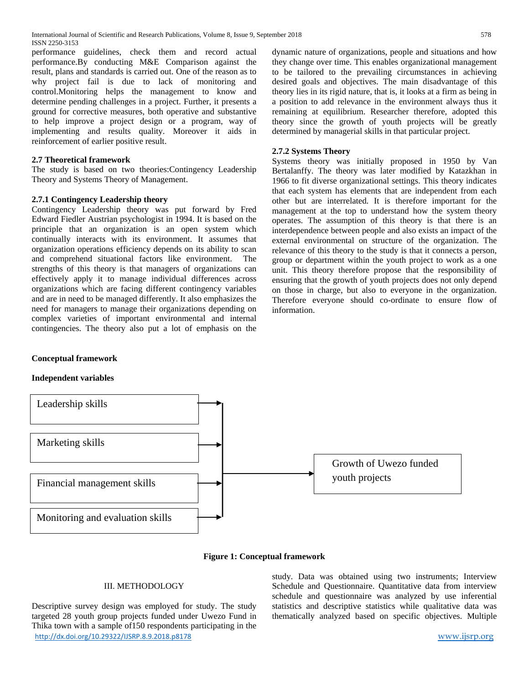performance guidelines, check them and record actual performance.By conducting M&E Comparison against the result, plans and standards is carried out. One of the reason as to why project fail is due to lack of monitoring and control.Monitoring helps the management to know and determine pending challenges in a project. Further, it presents a ground for corrective measures, both operative and substantive to help improve a project design or a program, way of implementing and results quality. Moreover it aids in reinforcement of earlier positive result.

#### **2.7 Theoretical framework**

The study is based on two theories:Contingency Leadership Theory and Systems Theory of Management.

#### **2.7.1 Contingency Leadership theory**

Contingency Leadership theory was put forward by Fred Edward Fiedler Austrian psychologist in 1994. It is based on the principle that an organization is an open system which continually interacts with its environment. It assumes that organization operations efficiency depends on its ability to scan and comprehend situational factors like environment. The strengths of this theory is that managers of organizations can effectively apply it to manage individual differences across organizations which are facing different contingency variables and are in need to be managed differently. It also emphasizes the need for managers to manage their organizations depending on complex varieties of important environmental and internal contingencies. The theory also put a lot of emphasis on the

dynamic nature of organizations, people and situations and how they change over time. This enables organizational management to be tailored to the prevailing circumstances in achieving desired goals and objectives. The main disadvantage of this theory lies in its rigid nature, that is, it looks at a firm as being in a position to add relevance in the environment always thus it remaining at equilibrium. Researcher therefore, adopted this theory since the growth of youth projects will be greatly determined by managerial skills in that particular project.

#### **2.7.2 Systems Theory**

Systems theory was initially proposed in 1950 by Van Bertalanffy. The theory was later modified by Katazkhan in 1966 to fit diverse organizational settings. This theory indicates that each system has elements that are independent from each other but are interrelated. It is therefore important for the management at the top to understand how the system theory operates. The assumption of this theory is that there is an interdependence between people and also exists an impact of the external environmental on structure of the organization. The relevance of this theory to the study is that it connects a person, group or department within the youth project to work as a one unit. This theory therefore propose that the responsibility of ensuring that the growth of youth projects does not only depend on those in charge, but also to everyone in the organization. Therefore everyone should co-ordinate to ensure flow of information.

#### **Conceptual framework**

#### **Independent variables**



**Figure 1: Conceptual framework**

#### III. METHODOLOGY

<http://dx.doi.org/10.29322/IJSRP.8.9.2018.p8178> [www.ijsrp.org](http://ijsrp.org/) Descriptive survey design was employed for study. The study targeted 28 youth group projects funded under Uwezo Fund in Thika town with a sample of150 respondents participating in the

study. Data was obtained using two instruments; Interview Schedule and Questionnaire. Quantitative data from interview schedule and questionnaire was analyzed by use inferential statistics and descriptive statistics while qualitative data was thematically analyzed based on specific objectives. Multiple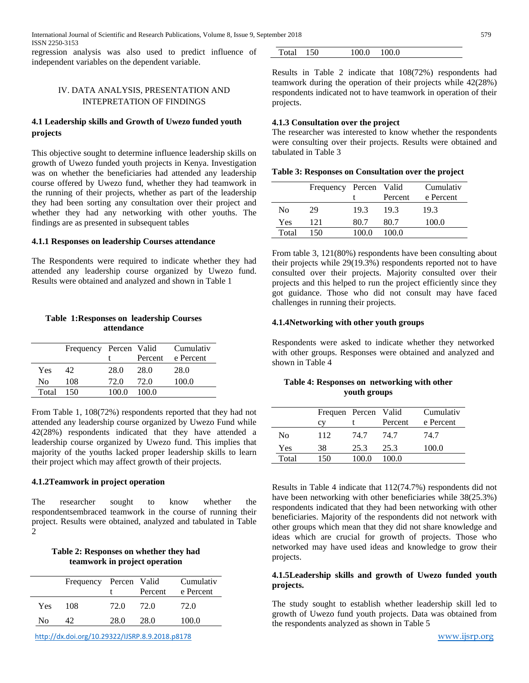regression analysis was also used to predict influence of independent variables on the dependent variable.

## IV. DATA ANALYSIS, PRESENTATION AND INTEPRETATION OF FINDINGS

## **4.1 Leadership skills and Growth of Uwezo funded youth projects**

This objective sought to determine influence leadership skills on growth of Uwezo funded youth projects in Kenya. Investigation was on whether the beneficiaries had attended any leadership course offered by Uwezo fund, whether they had teamwork in the running of their projects, whether as part of the leadership they had been sorting any consultation over their project and whether they had any networking with other youths. The findings are as presented in subsequent tables

#### **4.1.1 Responses on leadership Courses attendance**

The Respondents were required to indicate whether they had attended any leadership course organized by Uwezo fund. Results were obtained and analyzed and shown in Table 1

## **Table 1:Responses on leadership Courses attendance**

|       | Frequency Percen Valid |       |         | Cumulativ |
|-------|------------------------|-------|---------|-----------|
|       |                        |       | Percent | e Percent |
| Yes   | 42.                    | 28.0  | 28.0    | 28.0      |
| No    | 108                    | 72.O  | 72.O    | 100.0     |
| Total | - 150                  | 100 O | 100 O   |           |

From Table 1, 108(72%) respondents reported that they had not attended any leadership course organized by Uwezo Fund while 42(28%) respondents indicated that they have attended a leadership course organized by Uwezo fund. This implies that majority of the youths lacked proper leadership skills to learn their project which may affect growth of their projects.

#### **4.1.2Teamwork in project operation**

The researcher sought to know whether the respondentsembraced teamwork in the course of running their project. Results were obtained, analyzed and tabulated in Table  $\overline{2}$ 

#### **Table 2: Responses on whether they had teamwork in project operation**

| Percent<br>e Percent<br>72.0<br>72.O<br>72.O<br>-108<br><b>Yes</b> |    | Frequency Percen Valid |      |      | Cumulativ |
|--------------------------------------------------------------------|----|------------------------|------|------|-----------|
|                                                                    |    |                        |      |      |           |
|                                                                    |    |                        |      |      |           |
|                                                                    | Nο |                        | 28.0 | 28.0 | 100.0     |

<http://dx.doi.org/10.29322/IJSRP.8.9.2018.p8178> [www.ijsrp.org](http://ijsrp.org/)

| Total<br>100.0<br>100.0<br>150 |
|--------------------------------|
|--------------------------------|

Results in Table 2 indicate that 108(72%) respondents had teamwork during the operation of their projects while 42(28%) respondents indicated not to have teamwork in operation of their projects.

#### **4.1.3 Consultation over the project**

The researcher was interested to know whether the respondents were consulting over their projects. Results were obtained and tabulated in Table 3

| Table 3: Responses on Consultation over the project |  |  |
|-----------------------------------------------------|--|--|
|-----------------------------------------------------|--|--|

|       | Frequency Percen Valid |       | Percent | Cumulativ<br>e Percent |
|-------|------------------------|-------|---------|------------------------|
| No    | 29                     | 19.3  | 19.3    | 19.3                   |
| Yes   | 121                    | 80.7  | 80.7    | 100.0                  |
| Total | 150                    | 100.0 | 100.0   |                        |

From table 3, 121(80%) respondents have been consulting about their projects while 29(19.3%) respondents reported not to have consulted over their projects. Majority consulted over their projects and this helped to run the project efficiently since they got guidance. Those who did not consult may have faced challenges in running their projects.

#### **4.1.4Networking with other youth groups**

Respondents were asked to indicate whether they networked with other groups. Responses were obtained and analyzed and shown in Table 4

## **Table 4: Responses on networking with other youth groups**

|       | Frequen Percen Valid<br>cv |       | Percent | Cumulativ<br>e Percent |
|-------|----------------------------|-------|---------|------------------------|
| No    | 112                        | 74.7  | 74.7    | 74.7                   |
| Yes   | 38                         | 25.3  | 25.3    | 100.0                  |
| Total | 150                        | 100.0 | 100.0   |                        |

Results in Table 4 indicate that 112(74.7%) respondents did not have been networking with other beneficiaries while 38(25.3%) respondents indicated that they had been networking with other beneficiaries. Majority of the respondents did not network with other groups which mean that they did not share knowledge and ideas which are crucial for growth of projects. Those who networked may have used ideas and knowledge to grow their projects.

#### **4.1.5Leadership skills and growth of Uwezo funded youth projects.**

The study sought to establish whether leadership skill led to growth of Uwezo fund youth projects. Data was obtained from the respondents analyzed as shown in Table 5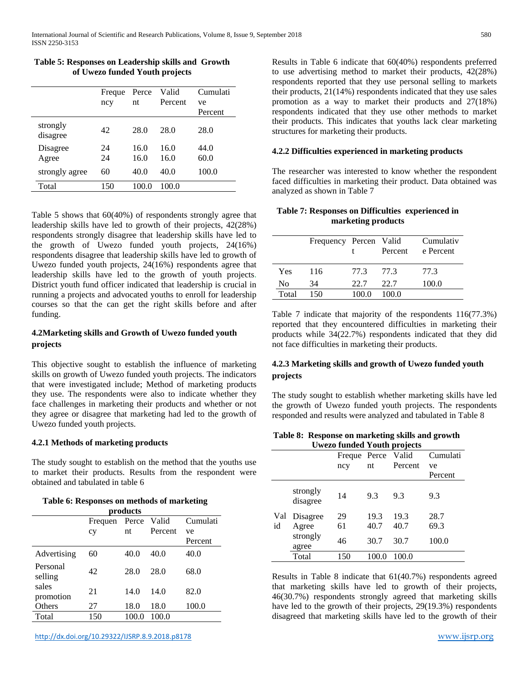## **Table 5: Responses on Leadership skills and Growth of Uwezo funded Youth projects**

|                      | Freque<br>ncy | Perce<br>nt | Valid<br>Percent | Cumulati<br>ve |
|----------------------|---------------|-------------|------------------|----------------|
|                      |               |             |                  | Percent        |
| strongly<br>disagree | 42            | 28.0        | 28.0             | 28.0           |
| Disagree             | 24            | 16.0        | 16.0             | 44.0           |
| Agree                | 24            | 16.0        | 16.0             | 60.0           |
| strongly agree       | 60            | 40.0        | 40.0             | 100.0          |
| Total                | 150           | 100.0       | 100.0            |                |

Table 5 shows that 60(40%) of respondents strongly agree that leadership skills have led to growth of their projects, 42(28%) respondents strongly disagree that leadership skills have led to the growth of Uwezo funded youth projects, 24(16%) respondents disagree that leadership skills have led to growth of Uwezo funded youth projects, 24(16%) respondents agree that leadership skills have led to the growth of youth projects. District youth fund officer indicated that leadership is crucial in running a projects and advocated youths to enroll for leadership courses so that the can get the right skills before and after funding.

# **4.2Marketing skills and Growth of Uwezo funded youth projects**

This objective sought to establish the influence of marketing skills on growth of Uwezo funded youth projects. The indicators that were investigated include; Method of marketing products they use. The respondents were also to indicate whether they face challenges in marketing their products and whether or not they agree or disagree that marketing had led to the growth of Uwezo funded youth projects.

## **4.2.1 Methods of marketing products**

The study sought to establish on the method that the youths use to market their products. Results from the respondent were obtained and tabulated in table 6

#### **Table 6: Responses on methods of marketing**

|                     | products |       |             |          |  |
|---------------------|----------|-------|-------------|----------|--|
|                     | Frequen  |       | Perce Valid | Cumulati |  |
|                     | cy       | nt    | Percent     | ve       |  |
|                     |          |       |             | Percent  |  |
| Advertising         | 60       | 40.0  | 40.0        | 40.0     |  |
| Personal<br>selling | 42       | 28.0  | 28.0        | 68.0     |  |
| sales<br>promotion  | 21       | 14.0  | 14.0        | 82.0     |  |
| Others              | 27       | 18.0  | 18.0        | 100.0    |  |
| Total               | 150      | 100.0 | 100.0       |          |  |

<http://dx.doi.org/10.29322/IJSRP.8.9.2018.p8178> [www.ijsrp.org](http://ijsrp.org/)

Results in Table 6 indicate that 60(40%) respondents preferred to use advertising method to market their products, 42(28%) respondents reported that they use personal selling to markets their products, 21(14%) respondents indicated that they use sales promotion as a way to market their products and 27(18%) respondents indicated that they use other methods to market their products. This indicates that youths lack clear marketing structures for marketing their products.

## **4.2.2 Difficulties experienced in marketing products**

The researcher was interested to know whether the respondent faced difficulties in marketing their product. Data obtained was analyzed as shown in Table 7

## **Table 7: Responses on Difficulties experienced in marketing products**

|       | Frequency Percen Valid |       | Percent | Cumulativ<br>e Percent |
|-------|------------------------|-------|---------|------------------------|
| Yes   | 116                    | 77.3  | 77.3    | 77.3                   |
| No    | 34                     | 22.7  | 22.7    | 100.0                  |
| Total | 150                    | 100 0 | 100.0   |                        |

Table 7 indicate that majority of the respondents 116(77.3%) reported that they encountered difficulties in marketing their products while 34(22.7%) respondents indicated that they did not face difficulties in marketing their products.

## **4.2.3 Marketing skills and growth of Uwezo funded youth projects**

The study sought to establish whether marketing skills have led the growth of Uwezo funded youth projects. The respondents responded and results were analyzed and tabulated in Table 8

#### **Table 8: Response on marketing skills and growth Uwezo funded Youth projects**

|     |                      |        |       | U wezo funded 1 outh projects |          |
|-----|----------------------|--------|-------|-------------------------------|----------|
|     |                      | Freque | Perce | Valid                         | Cumulati |
|     |                      | ncy    | nt    | Percent                       | ve       |
|     |                      |        |       |                               | Percent  |
|     | strongly<br>disagree | 14     | 9.3   | 9.3                           | 9.3      |
| Val | Disagree             | 29     | 19.3  | 19.3                          | 28.7     |
| id  | Agree                | 61     | 40.7  | 40.7                          | 69.3     |
|     | strongly<br>agree    | 46     | 30.7  | 30.7                          | 100.0    |
|     | Total                | 150    | 100.0 | 100.0                         |          |

Results in Table 8 indicate that 61(40.7%) respondents agreed that marketing skills have led to growth of their projects, 46(30.7%) respondents strongly agreed that marketing skills have led to the growth of their projects, 29(19.3%) respondents disagreed that marketing skills have led to the growth of their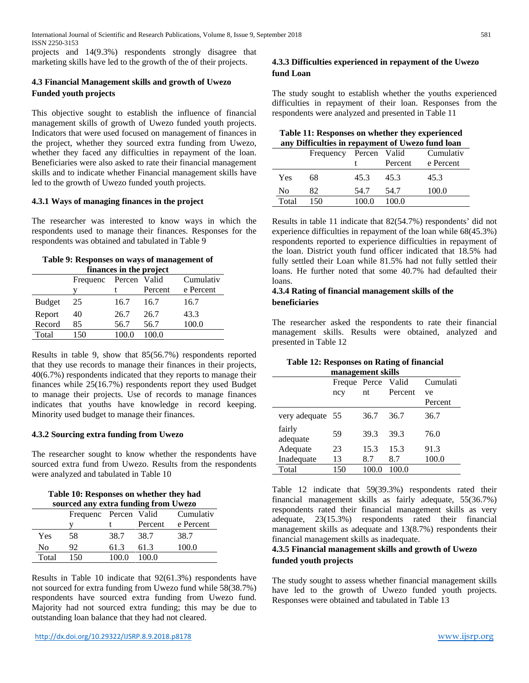projects and 14(9.3%) respondents strongly disagree that marketing skills have led to the growth of the of their projects.

# **4.3 Financial Management skills and growth of Uwezo Funded youth projects**

This objective sought to establish the influence of financial management skills of growth of Uwezo funded youth projects. Indicators that were used focused on management of finances in the project, whether they sourced extra funding from Uwezo, whether they faced any difficulties in repayment of the loan. Beneficiaries were also asked to rate their financial management skills and to indicate whether Financial management skills have led to the growth of Uwezo funded youth projects.

## **4.3.1 Ways of managing finances in the project**

The researcher was interested to know ways in which the respondents used to manage their finances. Responses for the respondents was obtained and tabulated in Table 9

## **Table 9: Responses on ways of management of finances in the project**

|               | minimets in the project |        |         |           |  |
|---------------|-------------------------|--------|---------|-----------|--|
|               | Frequenc                | Percen | Valid   | Cumulativ |  |
|               |                         |        | Percent | e Percent |  |
| <b>Budget</b> | 25                      | 16.7   | 16.7    | 16.7      |  |
| Report        | 40                      | 26.7   | 26.7    | 43.3      |  |
| Record        | 85                      | 56.7   | 56.7    | 100.0     |  |
| Total         | 150                     | 100.0  | 100.0   |           |  |
|               |                         |        |         |           |  |

Results in table 9, show that 85(56.7%) respondents reported that they use records to manage their finances in their projects, 40(6.7%) respondents indicated that they reports to manage their finances while 25(16.7%) respondents report they used Budget to manage their projects. Use of records to manage finances indicates that youths have knowledge in record keeping. Minority used budget to manage their finances.

## **4.3.2 Sourcing extra funding from Uwezo**

The researcher sought to know whether the respondents have sourced extra fund from Uwezo. Results from the respondents were analyzed and tabulated in Table 10

**Table 10: Responses on whether they had sourced any extra funding from Uwezo**

| sourced any extra runding from Owezo |     |       |           |           |
|--------------------------------------|-----|-------|-----------|-----------|
| Frequenc Percen Valid                |     |       | Cumulativ |           |
|                                      |     |       | Percent   | e Percent |
| Yes                                  | 58  | 38.7  | 38.7      | 38.7      |
| No                                   | 92  | 61.3  | 61.3      | 100.0     |
| Total                                | 150 | 100.0 | 100.0     |           |

Results in Table 10 indicate that 92(61.3%) respondents have not sourced for extra funding from Uwezo fund while 58(38.7%) respondents have sourced extra funding from Uwezo fund. Majority had not sourced extra funding; this may be due to outstanding loan balance that they had not cleared.

# **4.3.3 Difficulties experienced in repayment of the Uwezo fund Loan**

The study sought to establish whether the youths experienced difficulties in repayment of their loan. Responses from the respondents were analyzed and presented in Table 11

| Table 11: Responses on whether they experienced  |
|--------------------------------------------------|
| any Difficulties in repayment of Uwezo fund loan |

|       | Frequency Percen |       | Valid<br>Percent | Cumulativ<br>e Percent |
|-------|------------------|-------|------------------|------------------------|
| Yes   | 68               | 45.3  | 45.3             | 45.3                   |
| No    | 82               | 54.7  | 54.7             | 100.0                  |
| Total | 150              | 100.0 | 100.0            |                        |

Results in table 11 indicate that 82(54.7%) respondents' did not experience difficulties in repayment of the loan while 68(45.3%) respondents reported to experience difficulties in repayment of the loan. District youth fund officer indicated that 18.5% had fully settled their Loan while 81.5% had not fully settled their loans. He further noted that some 40.7% had defaulted their loans.

## **4.3.4 Rating of financial management skills of the beneficiaries**

The researcher asked the respondents to rate their financial management skills. Results were obtained, analyzed and presented in Table 12

# **Table 12: Responses on Rating of financial**

| management skills  |              |       |         |          |
|--------------------|--------------|-------|---------|----------|
|                    | Freque Perce |       | Valid   | Cumulati |
|                    | ncy          | nt    | Percent | ve       |
|                    |              |       |         | Percent  |
| very adequate 55   |              | 36.7  | 36.7    | 36.7     |
| fairly<br>adequate | 59           | 39.3  | 39.3    | 76.0     |
| Adequate           | 23           | 15.3  | 15.3    | 91.3     |
| Inadequate         | 13           | 8.7   | 8.7     | 100.0    |
| Total              | 150          | 100.0 | 100.0   |          |

Table 12 indicate that 59(39.3%) respondents rated their financial management skills as fairly adequate, 55(36.7%) respondents rated their financial management skills as very adequate, 23(15.3%) respondents rated their financial management skills as adequate and 13(8.7%) respondents their financial management skills as inadequate.

## **4.3.5 Financial management skills and growth of Uwezo funded youth projects**

The study sought to assess whether financial management skills have led to the growth of Uwezo funded youth projects. Responses were obtained and tabulated in Table 13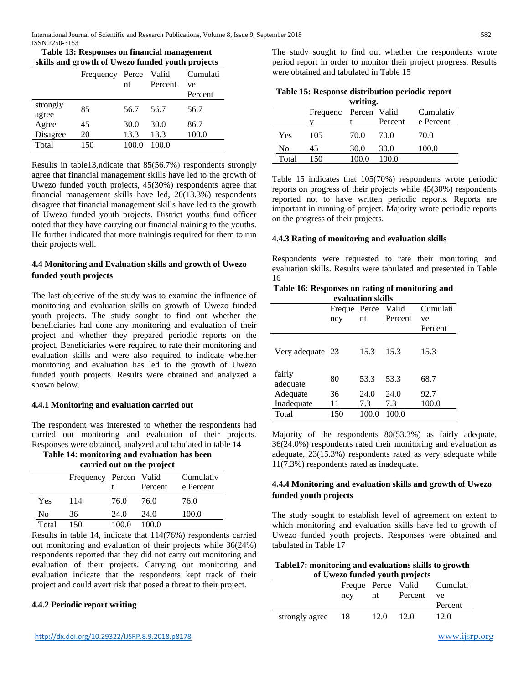| Table 13: Responses on financial management      |
|--------------------------------------------------|
| skills and growth of Uwezo funded youth projects |

|                   | $5.111110$ which go $0.11110$ and $0.111100$ and $0.111100$ and $0.111100$ |       |         |          |
|-------------------|----------------------------------------------------------------------------|-------|---------|----------|
|                   | Frequency                                                                  | Perce | Valid   | Cumulati |
|                   |                                                                            | nt    | Percent | ve       |
|                   |                                                                            |       |         | Percent  |
| strongly<br>agree | 85                                                                         | 56.7  | 56.7    | 56.7     |
| Agree             | 45                                                                         | 30.0  | 30.0    | 86.7     |
| Disagree          | 20                                                                         | 13.3  | 13.3    | 100.0    |
| Total             | 150                                                                        | 100.0 | 100.0   |          |
|                   |                                                                            |       |         |          |

Results in table13,ndicate that 85(56.7%) respondents strongly agree that financial management skills have led to the growth of Uwezo funded youth projects, 45(30%) respondents agree that financial management skills have led, 20(13.3%) respondents disagree that financial management skills have led to the growth of Uwezo funded youth projects. District youths fund officer noted that they have carrying out financial training to the youths. He further indicated that more trainingis required for them to run their projects well.

# **4.4 Monitoring and Evaluation skills and growth of Uwezo funded youth projects**

The last objective of the study was to examine the influence of monitoring and evaluation skills on growth of Uwezo funded youth projects. The study sought to find out whether the beneficiaries had done any monitoring and evaluation of their project and whether they prepared periodic reports on the project. Beneficiaries were required to rate their monitoring and evaluation skills and were also required to indicate whether monitoring and evaluation has led to the growth of Uwezo funded youth projects. Results were obtained and analyzed a shown below.

## **4.4.1 Monitoring and evaluation carried out**

The respondent was interested to whether the respondents had carried out monitoring and evaluation of their projects. Responses were obtained, analyzed and tabulated in table 14

**Table 14: monitoring and evaluation has been carried out on the project**

| carried out on the project |  |  |  |  |  |
|----------------------------|--|--|--|--|--|
|----------------------------|--|--|--|--|--|

|       | Frequency Percen Valid |       | Percent | Cumulativ<br>e Percent |
|-------|------------------------|-------|---------|------------------------|
| Yes   | 114                    | 76.0  | 76.0    | 76.0                   |
| No    | 36                     | 24.0  | 24.0    | 100.0                  |
| Total | 150                    | 100 O | 100.0   |                        |

Results in table 14, indicate that 114(76%) respondents carried out monitoring and evaluation of their projects while 36(24%) respondents reported that they did not carry out monitoring and evaluation of their projects. Carrying out monitoring and evaluation indicate that the respondents kept track of their project and could avert risk that posed a threat to their project.

## **4.4.2 Periodic report writing**

The study sought to find out whether the respondents wrote period report in order to monitor their project progress. Results were obtained and tabulated in Table 15

|       |                       | writing. |         |           |
|-------|-----------------------|----------|---------|-----------|
|       | Frequenc Percen Valid |          |         | Cumulativ |
|       |                       |          | Percent | e Percent |
| Yes   | 105                   | 70.0     | 70.0    | 70.0      |
| No    | 45                    | 30.0     | 30.0    | 100.0     |
| Total | 150                   | 100.0    | 100.0   |           |

Table 15 indicates that 105(70%) respondents wrote periodic reports on progress of their projects while 45(30%) respondents reported not to have written periodic reports. Reports are important in running of project. Majority wrote periodic reports on the progress of their projects.

## **4.4.3 Rating of monitoring and evaluation skills**

Respondents were requested to rate their monitoring and evaluation skills. Results were tabulated and presented in Table 16

|  |                   | Table 16: Responses on rating of monitoring and |
|--|-------------------|-------------------------------------------------|
|  | eveluation abilla |                                                 |

| evaluation skills  |              |       |         |          |
|--------------------|--------------|-------|---------|----------|
|                    | Freque Perce |       | Valid   | Cumulati |
|                    | ncy          | nt    | Percent | ve       |
|                    |              |       |         | Percent  |
| Very adequate 23   |              | 15.3  | 15.3    | 15.3     |
| fairly<br>adequate | 80           | 53.3  | 53.3    | 68.7     |
| Adequate           | 36           | 24.0  | 24.0    | 92.7     |
| Inadequate         | 11           | 7.3   | 7.3     | 100.0    |
| Total              | 150          | 100.0 | 100.0   |          |

Majority of the respondents 80(53.3%) as fairly adequate, 36(24.0%) respondents rated their monitoring and evaluation as adequate, 23(15.3%) respondents rated as very adequate while 11(7.3%) respondents rated as inadequate.

# **4.4.4 Monitoring and evaluation skills and growth of Uwezo funded youth projects**

The study sought to establish level of agreement on extent to which monitoring and evaluation skills have led to growth of Uwezo funded youth projects. Responses were obtained and tabulated in Table 17

| Table17: monitoring and evaluations skills to growth |
|------------------------------------------------------|
| of Uwezo funded youth projects                       |

| ncy | nt   |      | ve                                     |
|-----|------|------|----------------------------------------|
|     |      |      | Percent                                |
| -18 | 12.0 | 12.0 | 12.0                                   |
|     |      |      | Freque Perce Valid Cumulati<br>Percent |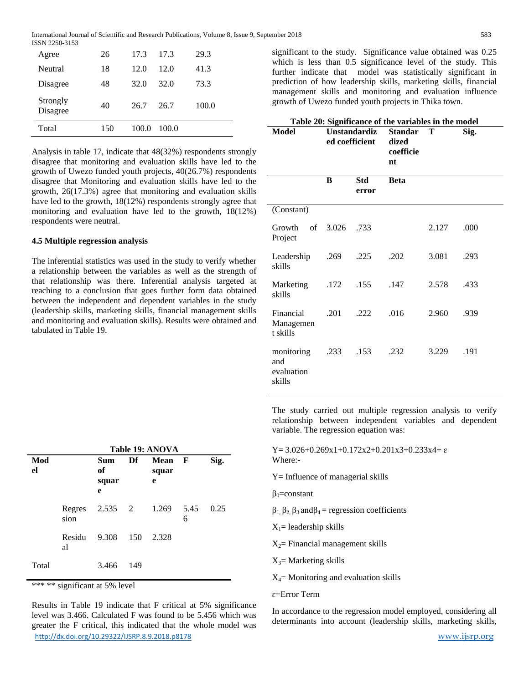| Total                | 150 | 100.0 | 100.0 |       |
|----------------------|-----|-------|-------|-------|
| Strongly<br>Disagree | 40  | 26.7  | 26.7  | 100.0 |
| Disagree             | 48  | 32.0  | 32.0  | 73.3  |
| Neutral              | 18  | 12.0  | 12.0  | 41.3  |
| Agree                | 26  | 17.3  | 17.3  | 29.3  |
|                      |     |       |       |       |

Analysis in table 17, indicate that 48(32%) respondents strongly disagree that monitoring and evaluation skills have led to the growth of Uwezo funded youth projects, 40(26.7%) respondents disagree that Monitoring and evaluation skills have led to the growth, 26(17.3%) agree that monitoring and evaluation skills have led to the growth, 18(12%) respondents strongly agree that monitoring and evaluation have led to the growth, 18(12%) respondents were neutral.

#### **4.5 Multiple regression analysis**

The inferential statistics was used in the study to verify whether a relationship between the variables as well as the strength of that relationship was there. Inferential analysis targeted at reaching to a conclusion that goes further form data obtained between the independent and dependent variables in the study (leadership skills, marketing skills, financial management skills and monitoring and evaluation skills). Results were obtained and tabulated in Table 19.

|           |                        | Table 19: ANOVA         |     |                    |              |      |
|-----------|------------------------|-------------------------|-----|--------------------|--------------|------|
| Mod<br>el |                        | Sum<br>of<br>squar<br>e | Df  | Mean<br>squar<br>е | $\mathbf{F}$ | Sig. |
|           | Regres 2.535 2<br>sion |                         |     | 1.269 5.45         | 6            | 0.25 |
|           | Residu<br>al           | 9.308                   | 150 | 2.328              |              |      |
| Total     |                        | 3.466                   | 149 |                    |              |      |

\*\*\* \*\* significant at 5% level

<http://dx.doi.org/10.29322/IJSRP.8.9.2018.p8178> [www.ijsrp.org](http://ijsrp.org/) Results in Table 19 indicate that F critical at 5% significance level was 3.466. Calculated F was found to be 5.456 which was greater the F critical, this indicated that the whole model was

significant to the study. Significance value obtained was 0.25 which is less than 0.5 significance level of the study. This further indicate that model was statistically significant in prediction of how leadership skills, marketing skills, financial management skills and monitoring and evaluation influence growth of Uwezo funded youth projects in Thika town.

| Table 20: Significance of the variables in the model |                                       |              |                                            |       |      |  |
|------------------------------------------------------|---------------------------------------|--------------|--------------------------------------------|-------|------|--|
| <b>Model</b>                                         | <b>Unstandardiz</b><br>ed coefficient |              | <b>Standar</b><br>dized<br>coefficie<br>nt | Т     | Sig. |  |
|                                                      | B                                     | Std<br>error | <b>Beta</b>                                |       |      |  |
| (Constant)                                           |                                       |              |                                            |       |      |  |
| Growth<br>Project                                    | of 3.026 .733                         |              |                                            | 2.127 | .000 |  |
| Leadership<br>skills                                 | .269                                  | .225         | .202                                       | 3.081 | .293 |  |
| Marketing<br>skills                                  | .172                                  | .155         | .147                                       | 2.578 | .433 |  |
| Financial<br>Managemen<br>t skills                   | .201                                  | .222         | .016                                       | 2.960 | .939 |  |
| monitoring<br>and<br>evaluation<br>skills            | .233                                  | .153         | .232                                       | 3.229 | .191 |  |

The study carried out multiple regression analysis to verify relationship between independent variables and dependent variable. The regression equation was:

 $Y= 3.026+0.269x1+0.172x2+0.201x3+0.233x4+\epsilon$ Where:-

Y= Influence of managerial skills

 $\beta_0$ =constant

- $β_1, β_2, β_3$  and $β_4$  = regression coefficients
- $X_1$ = leadership skills
- $X_2$ = Financial management skills

 $X_3$ = Marketing skills

 $X_4$ = Monitoring and evaluation skills

ɛ=Error Term

In accordance to the regression model employed, considering all determinants into account (leadership skills, marketing skills,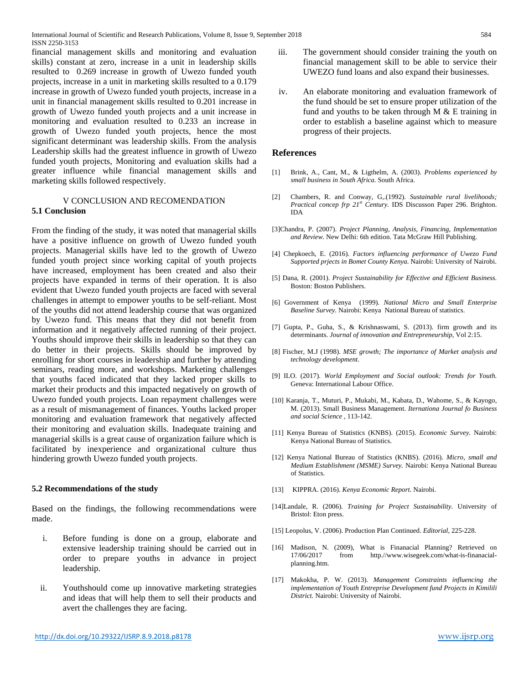financial management skills and monitoring and evaluation skills) constant at zero, increase in a unit in leadership skills resulted to 0.269 increase in growth of Uwezo funded youth projects, increase in a unit in marketing skills resulted to a 0.179 increase in growth of Uwezo funded youth projects, increase in a unit in financial management skills resulted to 0.201 increase in growth of Uwezo funded youth projects and a unit increase in monitoring and evaluation resulted to 0.233 an increase in growth of Uwezo funded youth projects, hence the most significant determinant was leadership skills. From the analysis Leadership skills had the greatest influence in growth of Uwezo funded youth projects, Monitoring and evaluation skills had a greater influence while financial management skills and marketing skills followed respectively.

#### V CONCLUSION AND RECOMENDATION **5.1 Conclusion**

From the finding of the study, it was noted that managerial skills have a positive influence on growth of Uwezo funded youth projects. Managerial skills have led to the growth of Uwezo funded youth project since working capital of youth projects have increased, employment has been created and also their projects have expanded in terms of their operation. It is also evident that Uwezo funded youth projects are faced with several challenges in attempt to empower youths to be self-reliant. Most of the youths did not attend leadership course that was organized by Uwezo fund. This means that they did not benefit from information and it negatively affected running of their project. Youths should improve their skills in leadership so that they can do better in their projects. Skills should be improved by enrolling for short courses in leadership and further by attending seminars, reading more, and workshops. Marketing challenges that youths faced indicated that they lacked proper skills to market their products and this impacted negatively on growth of Uwezo funded youth projects. Loan repayment challenges were as a result of mismanagement of finances. Youths lacked proper monitoring and evaluation framework that negatively affected their monitoring and evaluation skills. Inadequate training and managerial skills is a great cause of organization failure which is facilitated by inexperience and organizational culture thus hindering growth Uwezo funded youth projects.

#### **5.2 Recommendations of the study**

Based on the findings, the following recommendations were made.

- i. Before funding is done on a group, elaborate and extensive leadership training should be carried out in order to prepare youths in advance in project leadership.
- ii. Youthshould come up innovative marketing strategies and ideas that will help them to sell their products and avert the challenges they are facing.
- iii. The government should consider training the youth on financial management skill to be able to service their UWEZO fund loans and also expand their businesses.
- iv. An elaborate monitoring and evaluation framework of the fund should be set to ensure proper utilization of the fund and youths to be taken through  $M \& E$  training in order to establish a baseline against which to measure progress of their projects.

## **References**

- [1] Brink, A., Cant, M., & Ligthelm, A. (2003). *Problems experienced by small business in South Africa.* South Africa.
- [2] Chambers, R. and Conway, G,.(1992). *Sustainable rural livelihoods; Practical concep frp 21st Century.* IDS Discusson Paper 296. Brighton. IDA
- [3]Chandra, P. (2007). *Project Planning, Analysis, Financing, Implementation and Review.* New Delhi: 6th edition. Tata McGraw Hill Publishing.
- [4] Chepkoech, E. (2016). *Factors influencing performance of Uwezo Fund Supported prjects in Bomet County Kenya.* Nairobi: University of Nairobi.
- [5] Dana, R. (2001). *Project Sustainability for Effective and Efficient Business.* Boston: Boston Publishers.
- [6] Government of Kenya (1999). *National Micro and Small Enterprise Baseline Survey.* Nairobi: Kenya National Bureau of statistics.
- [7] Gupta, P., Guha, S., & Krishnaswami, S. (2013). firm growth and its determinants. *Journal of innovation and Entrepreneurship*, Vol 2:15.
- [8] Fischer, M.J (1998). *MSE growth; The importance of Market analysis and technology development.*
- [9] ILO. (2017). *World Employment and Social outlook: Trends for Youth.* Geneva: International Labour Office.
- [10] Karanja, T., Muturi, P., Mukabi, M., Kabata, D., Wahome, S., & Kayogo, M. (2013). Small Business Management. *Iternationa Journal fo Business and social Science* , 113-142.
- [11] Kenya Bureau of Statistics (KNBS). (2015). *Economic Survey.* Nairobi: Kenya National Bureau of Statistics.
- [12] Kenya National Bureau of Statistics (KNBS). (2016). *Micro, small and Medium Establishment (MSME) Survey.* Nairobi: Kenya National Bureau of Statistics.
- [13] KIPPRA. (2016). *Kenya Economic Report.* Nairobi.
- [14]Landale, R. (2006). *Training for Project Sustainability.* University of Bristol: Eton press.
- [15] Leopolus, V. (2006). Production Plan Continued. *Editorial*, 225-228.
- [16] Madison, N. (2009), What is Finanacial Planning? Retrieved on 17/06/2017 from http.//www.wisegeek.com/what-is-finanacialplanning.htm.
- [17] Makokha, P. W. (2013). *Management Constraints influencing the implementation of Youth Entreprise Development fund Projects in Kimilili District.* Nairobi: University of Nairobi.